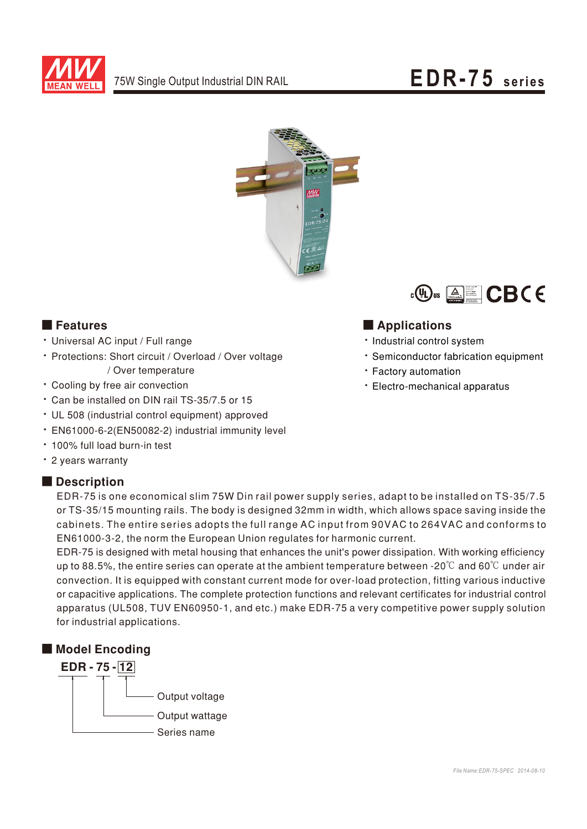



#### **E** Features

- Universal AC input / Full range
- Protections: Short circuit / Overload / Over voltage / Over temperature
- Cooling by free air convection
- \* Can be installed on DIN rail TS-35/7.5 or 15
- UL 508 (industrial control equipment) approved
- · EN61000-6-2(EN50082-2) industrial immunity level
- . 100% full load burn-in test
- · 2 years warranty

#### Description



### Applications

- · Industrial control system
- · Semiconductor fabrication equipment
- Factory automation
- · Electro-mechanical apparatus

EDR-75 is one economical slim 75W Din rail power supply series, adapt to be installed on TS-35/7.5 or TS-35/15 mounting rails. The body is designed 32mm in width, which allows space saving inside the cabinets. The entire series adopts the full range AC input from 90VAC to 264VAC and conforms to EN61000-3-2, the norm the European Union regulates for harmonic current.

EDR-75 is designed with metal housing that enhances the unit's power dissipation. With working efficiency up to 88.5%, the entire series can operate at the ambient temperature between -20°C and 60°C under air convection. It is equipped with constant current mode for over-load protection, fitting various inductive or capacitive applications. The complete protection functions and relevant certificates for industrial control apparatus (UL508, TUV EN60950-1, and etc.) make EDR-75 a very competitive power supply solution for industrial applications.

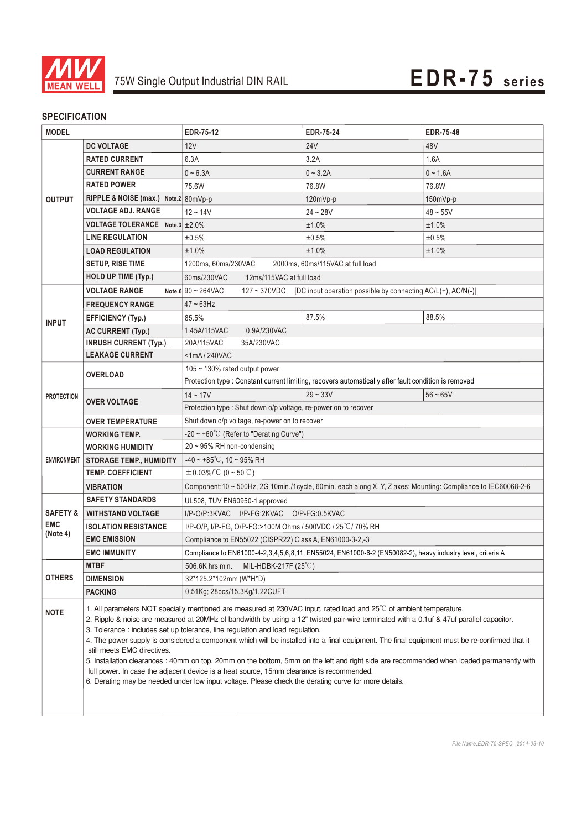

#### **SPECIFICATION**

| <b>MODEL</b>                                  |                                                                                                                                                                                                                                                                                                                                                                                                                                                                                                                                                                                                                                                                                                                                                                                                                                                                                             | <b>EDR-75-12</b>                                                                                                                                   | <b>EDR-75-24</b>                                                                                     | <b>EDR-75-48</b> |  |
|-----------------------------------------------|---------------------------------------------------------------------------------------------------------------------------------------------------------------------------------------------------------------------------------------------------------------------------------------------------------------------------------------------------------------------------------------------------------------------------------------------------------------------------------------------------------------------------------------------------------------------------------------------------------------------------------------------------------------------------------------------------------------------------------------------------------------------------------------------------------------------------------------------------------------------------------------------|----------------------------------------------------------------------------------------------------------------------------------------------------|------------------------------------------------------------------------------------------------------|------------------|--|
| <b>OUTPUT</b>                                 | <b>DC VOLTAGE</b>                                                                                                                                                                                                                                                                                                                                                                                                                                                                                                                                                                                                                                                                                                                                                                                                                                                                           | 12V                                                                                                                                                | <b>24V</b>                                                                                           | 48V              |  |
|                                               | <b>RATED CURRENT</b>                                                                                                                                                                                                                                                                                                                                                                                                                                                                                                                                                                                                                                                                                                                                                                                                                                                                        | 6.3A                                                                                                                                               | 3.2A                                                                                                 | 1.6A             |  |
|                                               | <b>CURRENT RANGE</b>                                                                                                                                                                                                                                                                                                                                                                                                                                                                                                                                                                                                                                                                                                                                                                                                                                                                        | $0 - 6.3A$                                                                                                                                         | $0 - 3.2A$                                                                                           | $0 - 1.6A$       |  |
|                                               | <b>RATED POWER</b>                                                                                                                                                                                                                                                                                                                                                                                                                                                                                                                                                                                                                                                                                                                                                                                                                                                                          | 75.6W                                                                                                                                              | 76.8W                                                                                                | 76.8W            |  |
|                                               | RIPPLE & NOISE (max.) Note.2 80mVp-p                                                                                                                                                                                                                                                                                                                                                                                                                                                                                                                                                                                                                                                                                                                                                                                                                                                        |                                                                                                                                                    | 120mVp-p                                                                                             | 150mVp-p         |  |
|                                               | <b>VOLTAGE ADJ. RANGE</b>                                                                                                                                                                                                                                                                                                                                                                                                                                                                                                                                                                                                                                                                                                                                                                                                                                                                   | $12 - 14V$                                                                                                                                         | $24 - 28V$                                                                                           | $48 - 55V$       |  |
|                                               | VOLTAGE TOLERANCE Note.3 ± 2.0%                                                                                                                                                                                                                                                                                                                                                                                                                                                                                                                                                                                                                                                                                                                                                                                                                                                             |                                                                                                                                                    | ±1.0%                                                                                                | ±1.0%            |  |
|                                               | <b>LINE REGULATION</b>                                                                                                                                                                                                                                                                                                                                                                                                                                                                                                                                                                                                                                                                                                                                                                                                                                                                      | ±0.5%                                                                                                                                              | ±0.5%                                                                                                | ±0.5%            |  |
|                                               | <b>LOAD REGULATION</b>                                                                                                                                                                                                                                                                                                                                                                                                                                                                                                                                                                                                                                                                                                                                                                                                                                                                      | ±1.0%                                                                                                                                              | ±1.0%                                                                                                | ±1.0%            |  |
|                                               | <b>SETUP, RISE TIME</b>                                                                                                                                                                                                                                                                                                                                                                                                                                                                                                                                                                                                                                                                                                                                                                                                                                                                     | 1200ms, 60ms/230VAC<br>2000ms, 60ms/115VAC at full load                                                                                            |                                                                                                      |                  |  |
|                                               | <b>HOLD UP TIME (Typ.)</b>                                                                                                                                                                                                                                                                                                                                                                                                                                                                                                                                                                                                                                                                                                                                                                                                                                                                  | 60ms/230VAC<br>12ms/115VAC at full load                                                                                                            |                                                                                                      |                  |  |
| <b>INPUT</b>                                  | <b>VOLTAGE RANGE</b>                                                                                                                                                                                                                                                                                                                                                                                                                                                                                                                                                                                                                                                                                                                                                                                                                                                                        | Note.6 $90 \sim 264 \text{VAC}$<br>[DC input operation possible by connecting AC/L(+), AC/N(-)]<br>127~370VDC                                      |                                                                                                      |                  |  |
|                                               | <b>FREQUENCY RANGE</b>                                                                                                                                                                                                                                                                                                                                                                                                                                                                                                                                                                                                                                                                                                                                                                                                                                                                      | $47 - 63$ Hz                                                                                                                                       |                                                                                                      |                  |  |
|                                               | <b>EFFICIENCY (Typ.)</b>                                                                                                                                                                                                                                                                                                                                                                                                                                                                                                                                                                                                                                                                                                                                                                                                                                                                    | 85.5%                                                                                                                                              | 87.5%                                                                                                | 88.5%            |  |
|                                               | <b>AC CURRENT (Typ.)</b>                                                                                                                                                                                                                                                                                                                                                                                                                                                                                                                                                                                                                                                                                                                                                                                                                                                                    | 0.9A/230VAC<br>1.45A/115VAC                                                                                                                        |                                                                                                      |                  |  |
|                                               | <b>INRUSH CURRENT (Typ.)</b>                                                                                                                                                                                                                                                                                                                                                                                                                                                                                                                                                                                                                                                                                                                                                                                                                                                                | 35A/230VAC<br>20A/115VAC                                                                                                                           |                                                                                                      |                  |  |
|                                               | <b>LEAKAGE CURRENT</b>                                                                                                                                                                                                                                                                                                                                                                                                                                                                                                                                                                                                                                                                                                                                                                                                                                                                      | <1mA/240VAC                                                                                                                                        |                                                                                                      |                  |  |
| <b>PROTECTION</b>                             | <b>OVERLOAD</b>                                                                                                                                                                                                                                                                                                                                                                                                                                                                                                                                                                                                                                                                                                                                                                                                                                                                             | 105 ~ 130% rated output power                                                                                                                      |                                                                                                      |                  |  |
|                                               |                                                                                                                                                                                                                                                                                                                                                                                                                                                                                                                                                                                                                                                                                                                                                                                                                                                                                             |                                                                                                                                                    | Protection type : Constant current limiting, recovers automatically after fault condition is removed |                  |  |
|                                               | <b>OVER VOLTAGE</b>                                                                                                                                                                                                                                                                                                                                                                                                                                                                                                                                                                                                                                                                                                                                                                                                                                                                         | $14 - 17V$                                                                                                                                         | $29 - 33V$                                                                                           | $56 - 65V$       |  |
|                                               |                                                                                                                                                                                                                                                                                                                                                                                                                                                                                                                                                                                                                                                                                                                                                                                                                                                                                             | Protection type : Shut down o/p voltage, re-power on to recover                                                                                    |                                                                                                      |                  |  |
|                                               | <b>OVER TEMPERATURE</b>                                                                                                                                                                                                                                                                                                                                                                                                                                                                                                                                                                                                                                                                                                                                                                                                                                                                     | Shut down o/p voltage, re-power on to recover                                                                                                      |                                                                                                      |                  |  |
| <b>ENVIRONMENT</b>                            | <b>WORKING TEMP.</b>                                                                                                                                                                                                                                                                                                                                                                                                                                                                                                                                                                                                                                                                                                                                                                                                                                                                        | -20 $\sim$ +60°C (Refer to "Derating Curve")                                                                                                       |                                                                                                      |                  |  |
|                                               | <b>WORKING HUMIDITY</b>                                                                                                                                                                                                                                                                                                                                                                                                                                                                                                                                                                                                                                                                                                                                                                                                                                                                     | 20~95% RH non-condensing                                                                                                                           |                                                                                                      |                  |  |
|                                               | <b>STORAGE TEMP., HUMIDITY</b>                                                                                                                                                                                                                                                                                                                                                                                                                                                                                                                                                                                                                                                                                                                                                                                                                                                              | $-40 \sim +85^{\circ}$ C, 10 ~ 95% RH                                                                                                              |                                                                                                      |                  |  |
|                                               | <b>TEMP. COEFFICIENT</b>                                                                                                                                                                                                                                                                                                                                                                                                                                                                                                                                                                                                                                                                                                                                                                                                                                                                    | $\pm$ 0.03%/°C (0 ~ 50°C)                                                                                                                          |                                                                                                      |                  |  |
|                                               | <b>VIBRATION</b>                                                                                                                                                                                                                                                                                                                                                                                                                                                                                                                                                                                                                                                                                                                                                                                                                                                                            | Component:10 ~ 500Hz, 2G 10min./1cycle, 60min. each along X, Y, Z axes; Mounting: Compliance to IEC60068-2-6                                       |                                                                                                      |                  |  |
| <b>SAFETY &amp;</b><br><b>EMC</b><br>(Note 4) | <b>SAFETY STANDARDS</b>                                                                                                                                                                                                                                                                                                                                                                                                                                                                                                                                                                                                                                                                                                                                                                                                                                                                     | UL508, TUV EN60950-1 approved                                                                                                                      |                                                                                                      |                  |  |
|                                               | <b>WITHSTAND VOLTAGE</b>                                                                                                                                                                                                                                                                                                                                                                                                                                                                                                                                                                                                                                                                                                                                                                                                                                                                    | I/P-O/P:3KVAC I/P-FG:2KVAC O/P-FG:0.5KVAC                                                                                                          |                                                                                                      |                  |  |
|                                               | <b>ISOLATION RESISTANCE</b><br><b>EMC EMISSION</b>                                                                                                                                                                                                                                                                                                                                                                                                                                                                                                                                                                                                                                                                                                                                                                                                                                          | I/P-O/P, I/P-FG, O/P-FG:>100M Ohms / 500VDC / 25°C/70% RH<br>Compliance to EN55022 (CISPR22) Class A, EN61000-3-2,-3                               |                                                                                                      |                  |  |
|                                               |                                                                                                                                                                                                                                                                                                                                                                                                                                                                                                                                                                                                                                                                                                                                                                                                                                                                                             |                                                                                                                                                    |                                                                                                      |                  |  |
|                                               | <b>EMC IMMUNITY</b><br><b>MTBF</b>                                                                                                                                                                                                                                                                                                                                                                                                                                                                                                                                                                                                                                                                                                                                                                                                                                                          | Compliance to EN61000-4-2,3,4,5,6,8,11, EN55024, EN61000-6-2 (EN50082-2), heavy industry level, criteria A<br>506.6K hrs min. MIL-HDBK-217F (25°C) |                                                                                                      |                  |  |
| <b>OTHERS</b>                                 | <b>DIMENSION</b>                                                                                                                                                                                                                                                                                                                                                                                                                                                                                                                                                                                                                                                                                                                                                                                                                                                                            | 32*125.2*102mm (W*H*D)                                                                                                                             |                                                                                                      |                  |  |
|                                               | <b>PACKING</b>                                                                                                                                                                                                                                                                                                                                                                                                                                                                                                                                                                                                                                                                                                                                                                                                                                                                              | 0.51Kg; 28pcs/15.3Kg/1.22CUFT                                                                                                                      |                                                                                                      |                  |  |
|                                               |                                                                                                                                                                                                                                                                                                                                                                                                                                                                                                                                                                                                                                                                                                                                                                                                                                                                                             |                                                                                                                                                    |                                                                                                      |                  |  |
| <b>NOTE</b>                                   | 1. All parameters NOT specially mentioned are measured at 230VAC input, rated load and $25^{\circ}$ of ambient temperature.<br>2. Ripple & noise are measured at 20MHz of bandwidth by using a 12" twisted pair-wire terminated with a 0.1uf & 47uf parallel capacitor.<br>3. Tolerance : includes set up tolerance, line regulation and load regulation.<br>4. The power supply is considered a component which will be installed into a final equipment. The final equipment must be re-confirmed that it<br>still meets EMC directives.<br>5. Installation clearances : 40mm on top, 20mm on the bottom, 5mm on the left and right side are recommended when loaded permanently with<br>full power. In case the adjacent device is a heat source, 15mm clearance is recommended.<br>6. Derating may be needed under low input voltage. Please check the derating curve for more details. |                                                                                                                                                    |                                                                                                      |                  |  |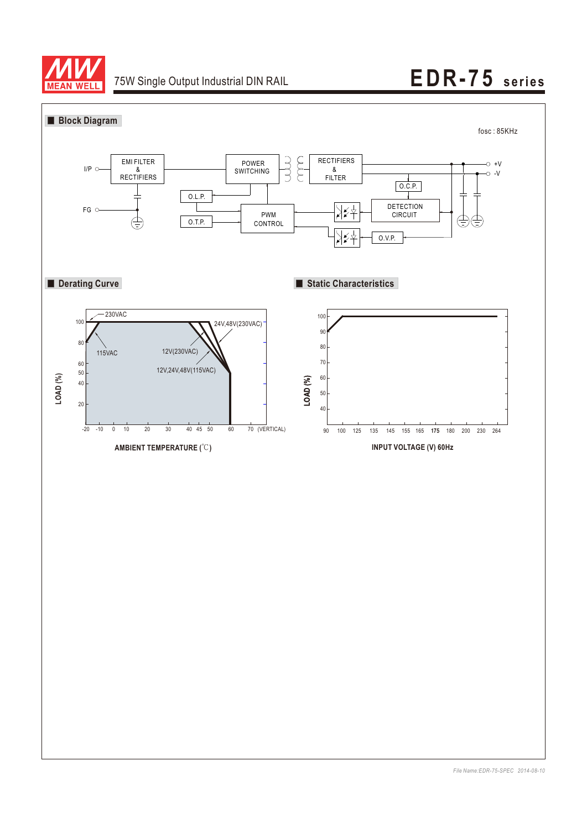

# 75W Single Output Industrial DIN RAIL **EDR-75** series